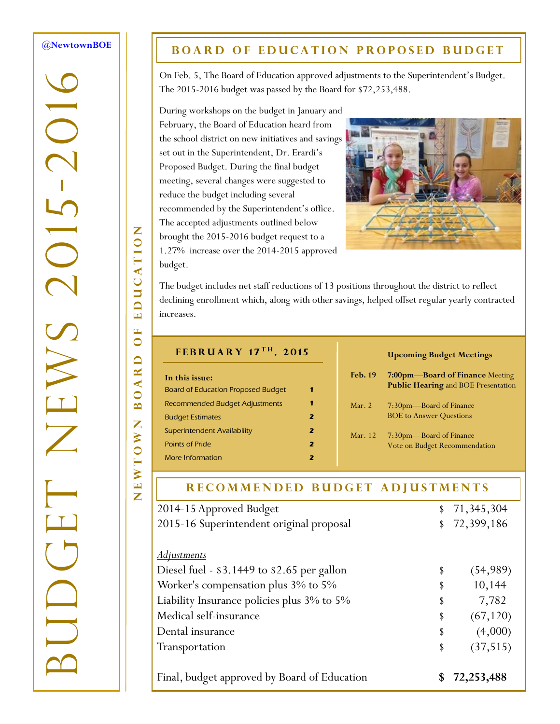### <span id="page-0-0"></span>**[@NewtownBOE](http://tiny.cc/nboe1502n1t1)**

-2016

 $\overline{C}$ 

BUDGET NEWS 2015

## **BOARD OF EDUCATION PROPOSED BUDGET**

On Feb. 5, The Board of Education approved adjustments to the Superintendent's Budget. The 2015-2016 budget was passed by the Board for \$72,253,488.

During workshops on the budget in January and February, the Board of Education heard from the school district on new initiatives and savings set out in the Superintendent, Dr. Erardi's Proposed Budget. During the final budget meeting, several changes were suggested to reduce the budget including several recommended by the Superintendent's office. The accepted adjustments outlined below brought the 2015-2016 budget request to a 1.27% increase over the 2014-2015 approved budget.



The budget includes net staff reductions of 13 positions throughout the district to reflect declining enrollment which, along with other savings, helped offset regular yearly contracted increases.

#### **F e b r u a r y 1 7 t h , 2 0 1 5**

| In this issue:                            |   |  |
|-------------------------------------------|---|--|
| <b>Board of Education Proposed Budget</b> |   |  |
| Recommended Budget Adjustments            |   |  |
| <b>Budget Estimates</b>                   | 2 |  |
| Superintendent Availability               | 2 |  |
| Points of Pride                           | 2 |  |
| More Information                          |   |  |

#### **Upcoming Budget Meetings**

| <b>Feb. 19</b> | 7:00pm-Board of Finance Meeting<br><b>Public Hearing and BOE Presentation</b> |
|----------------|-------------------------------------------------------------------------------|
| Mar. $2$       | 7:30pm—Board of Finance<br><b>BOE</b> to Answer Questions                     |
| Mar. 12        | 7:30pm-Board of Finance<br>Vote on Budget Recommendation                      |

| RECOMMENDED BUDGET ADJUSTMENTS               |                 |
|----------------------------------------------|-----------------|
| 2014-15 Approved Budget                      | 71, 345, 304    |
| 2015-16 Superintendent original proposal     | 72,399,186      |
| <u>Adjustments</u>                           |                 |
| Diesel fuel - \$3.1449 to \$2.65 per gallon  | \$<br>(54,989)  |
| Worker's compensation plus 3% to 5%          | \$<br>10,144    |
| Liability Insurance policies plus 3% to 5%   | \$<br>7,782     |
| Medical self-insurance                       | \$<br>(67, 120) |
| Dental insurance                             | \$<br>(4,000)   |
| Transportation                               | \$<br>(37, 515) |
| Final, budget approved by Board of Education | 72,253,488      |

EDUCATION NEWTOWN BOARD OF EDUCATION  $\mathbf{L}$  $\bullet$ OARD  $\mathbf{\Omega}$ Z EWTOW

Z